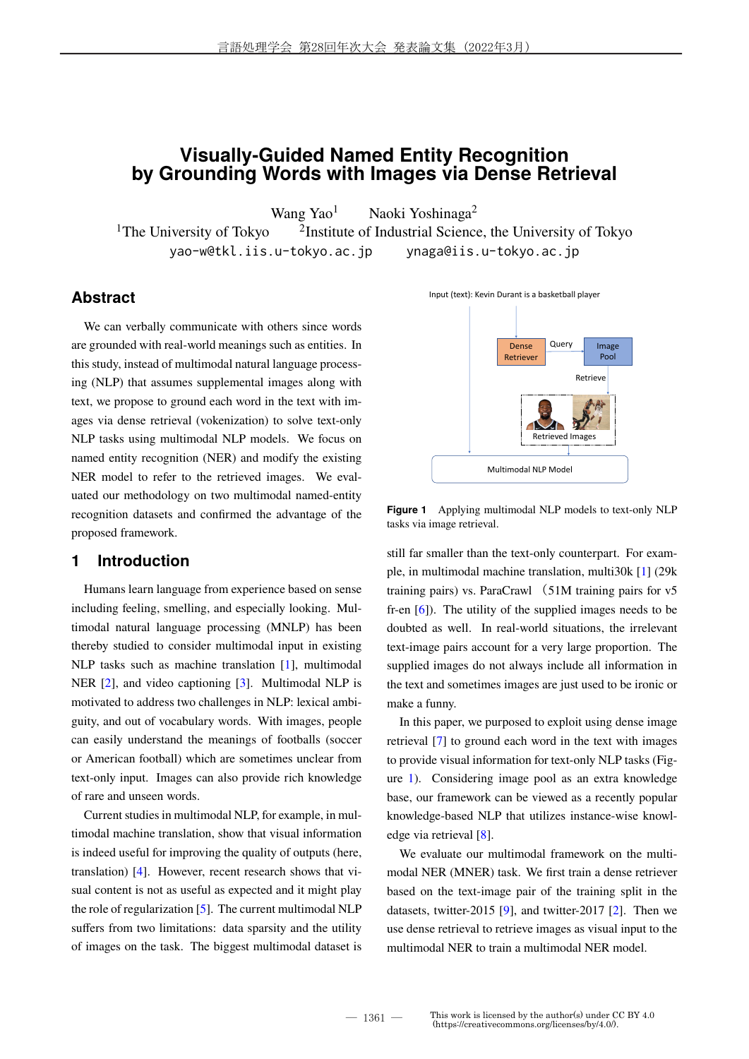# **Visually-Guided Named Entity Recognition by Grounding Words with Images via Dense Retrieval**

Wang Yao<sup>1</sup> Naoki Yoshinaga<sup>2</sup>

<sup>1</sup>The University of Tokyo <sup>2</sup>Institute of Industrial Science, the University of Tokyo yao-w@tkl.iis.u-tokyo.ac.jp ynaga@iis.u-tokyo.ac.jp

## **Abstract**

We can verbally communicate with others since words are grounded with real-world meanings such as entities. In this study, instead of multimodal natural language processing (NLP) that assumes supplemental images along with text, we propose to ground each word in the text with images via dense retrieval (vokenization) to solve text-only NLP tasks using multimodal NLP models. We focus on named entity recognition (NER) and modify the existing NER model to refer to the retrieved images. We evaluated our methodology on two multimodal named-entity recognition datasets and confirmed the advantage of the proposed framework.

### **1 Introduction**

Humans learn language from experience based on sense including feeling, smelling, and especially looking. Multimodal natural language processing (MNLP) has been thereby studied to consider multimodal input in existing NLP tasks such as machine translation [1], multimodal NER [2], and video captioning [3]. Multimodal NLP is motivated to address two challenges in NLP: lexical ambiguity, and out of vocabulary words. With images, people can easily understand the meanings of footballs (soccer or American football) which are sometimes unclear from text-only input. Images can also provide rich knowledge of rare and unseen words.

Current studies in multimodal NLP, for example, in multimodal machine translation, show that visual information is indeed useful for improving the quality of outputs (here, translation) [4]. However, recent research shows that visual content is not as useful as expected and it might play the role of regularization [5]. The current multimodal NLP suffers from two limitations: data sparsity and the utility of images on the task. The biggest multimodal dataset is



**Figure 1** Applying multimodal NLP models to text-only NLP tasks via image retrieval.

still far smaller than the text-only counterpart. For example, in multimodal machine translation, multi30k [1] (29k training pairs) vs. ParaCrawl (51M training pairs for v5 fr-en [6]). The utility of the supplied images needs to be doubted as well. In real-world situations, the irrelevant text-image pairs account for a very large proportion. The supplied images do not always include all information in the text and sometimes images are just used to be ironic or make a funny.

In this paper, we purposed to exploit using dense image retrieval [7] to ground each word in the text with images to provide visual information for text-only NLP tasks (Figure 1). Considering image pool as an extra knowledge base, our framework can be viewed as a recently popular knowledge-based NLP that utilizes instance-wise knowledge via retrieval [8].

We evaluate our multimodal framework on the multimodal NER (MNER) task. We first train a dense retriever based on the text-image pair of the training split in the datasets, twitter-2015 [9], and twitter-2017 [2]. Then we use dense retrieval to retrieve images as visual input to the multimodal NER to train a multimodal NER model.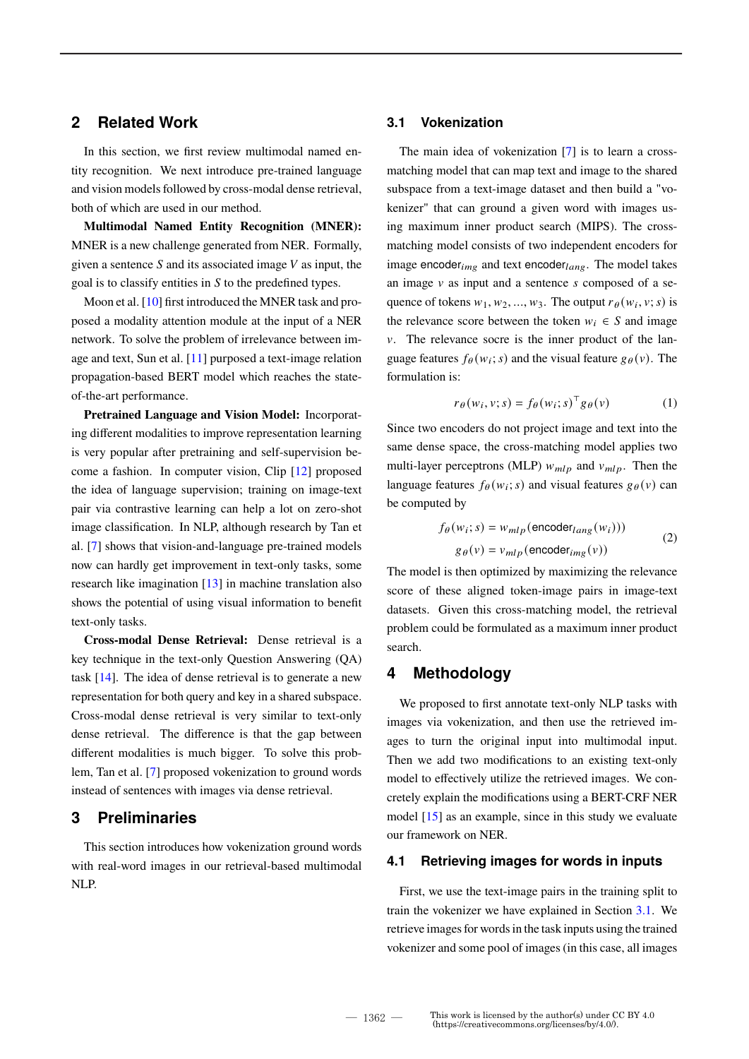## **2 Related Work**

In this section, we first review multimodal named entity recognition. We next introduce pre-trained language and vision models followed by cross-modal dense retrieval, both of which are used in our method.

**Multimodal Named Entity Recognition (MNER):** MNER is a new challenge generated from NER. Formally, given a sentence  $S$  and its associated image  $V$  as input, the goal is to classify entities in  $S$  to the predefined types.

Moon et al. [10] first introduced the MNER task and proposed a modality attention module at the input of a NER network. To solve the problem of irrelevance between image and text, Sun et al. [11] purposed a text-image relation propagation-based BERT model which reaches the stateof-the-art performance.

**Pretrained Language and Vision Model:** Incorporating different modalities to improve representation learning is very popular after pretraining and self-supervision become a fashion. In computer vision, Clip [12] proposed the idea of language supervision; training on image-text pair via contrastive learning can help a lot on zero-shot image classification. In NLP, although research by Tan et al. [7] shows that vision-and-language pre-trained models now can hardly get improvement in text-only tasks, some research like imagination [13] in machine translation also shows the potential of using visual information to benefit text-only tasks.

**Cross-modal Dense Retrieval:** Dense retrieval is a key technique in the text-only Question Answering (QA) task [14]. The idea of dense retrieval is to generate a new representation for both query and key in a shared subspace. Cross-modal dense retrieval is very similar to text-only dense retrieval. The difference is that the gap between different modalities is much bigger. To solve this problem, Tan et al. [7] proposed vokenization to ground words instead of sentences with images via dense retrieval.

## **3 Preliminaries**

This section introduces how vokenization ground words with real-word images in our retrieval-based multimodal NLP.

### **3.1 Vokenization**

The main idea of vokenization [7] is to learn a crossmatching model that can map text and image to the shared subspace from a text-image dataset and then build a "vokenizer" that can ground a given word with images using maximum inner product search (MIPS). The crossmatching model consists of two independent encoders for image encoder $_{img}$  and text encoder $_{lang}$ . The model takes an image  $\nu$  as input and a sentence  $s$  composed of a sequence of tokens  $w_1, w_2, ..., w_3$ . The output  $r_\theta(w_i, v; s)$  is the relevance score between the token  $w_i \in S$  and image  $\nu$ . The relevance socre is the inner product of the language features  $f_{\theta}(w_i; s)$  and the visual feature  $g_{\theta}(v)$ . The formulation is:

$$
r_{\theta}(w_i, v; s) = f_{\theta}(w_i; s)^{\top} g_{\theta}(v)
$$
 (1)

Since two encoders do not project image and text into the same dense space, the cross-matching model applies two multi-layer perceptrons (MLP)  $w_{mlp}$  and  $v_{mlp}$ . Then the language features  $f_{\theta}(w_i; s)$  and visual features  $g_{\theta}(v)$  can be computed by

$$
f_{\theta}(w_i; s) = w_{mlp}(\text{encoder}_{lang}(w_i)))
$$
  
 
$$
g_{\theta}(v) = v_{mlp}(\text{encoder}_{img}(v))
$$
 (2)

The model is then optimized by maximizing the relevance score of these aligned token-image pairs in image-text datasets. Given this cross-matching model, the retrieval problem could be formulated as a maximum inner product search.

## **4 Methodology**

We proposed to first annotate text-only NLP tasks with images via vokenization, and then use the retrieved images to turn the original input into multimodal input. Then we add two modifications to an existing text-only model to effectively utilize the retrieved images. We concretely explain the modifications using a BERT-CRF NER model [15] as an example, since in this study we evaluate our framework on NER.

#### **4.1 Retrieving images for words in inputs**

First, we use the text-image pairs in the training split to train the vokenizer we have explained in Section 3.1. We retrieve images for words in the task inputs using the trained vokenizer and some pool of images (in this case, all images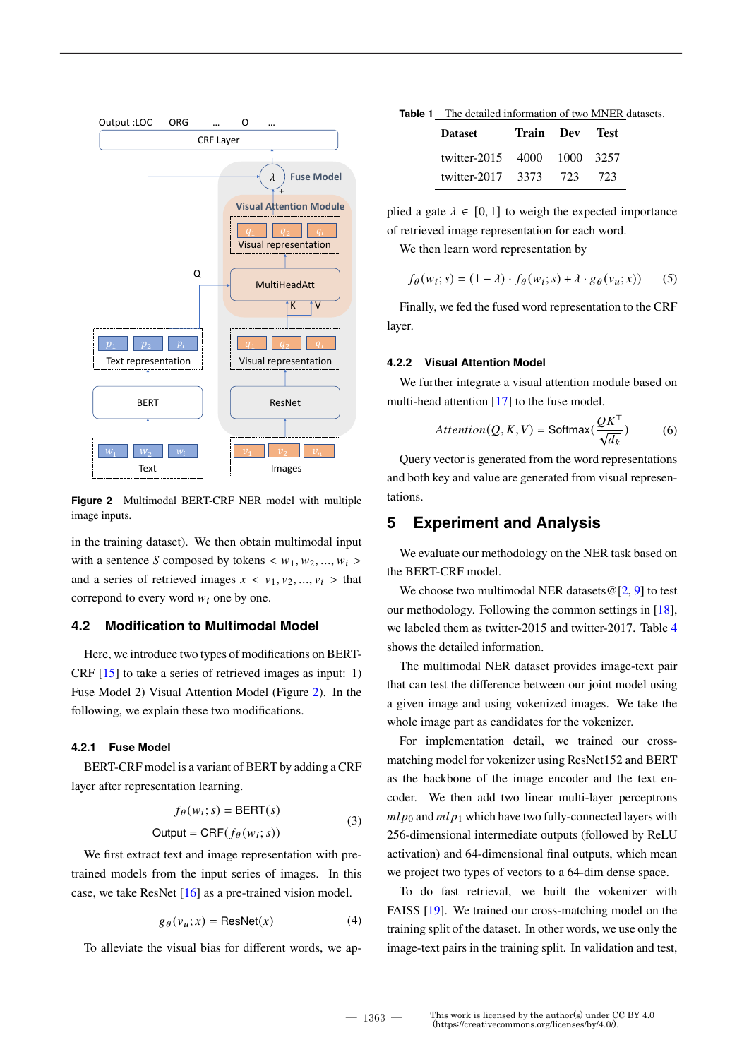

**Figure 2** Multimodal BERT-CRF NER model with multiple image inputs.

in the training dataset). We then obtain multimodal input with a sentence S composed by tokens  $\langle w_1, w_2, ..., w_i \rangle$ and a series of retrieved images  $x < v_1, v_2, ..., v_i >$  that correpond to every word  $w_i$  one by one.

## **4.2 Modification to Multimodal Model**

Here, we introduce two types of modifications on BERT-CRF [15] to take a series of retrieved images as input: 1) Fuse Model 2) Visual Attention Model (Figure 2). In the following, we explain these two modifications.

#### **4.2.1 Fuse Model**

BERT-CRF model is a variant of BERT by adding a CRF layer after representation learning.

$$
f_{\theta}(w_i; s) = \text{BERT}(s)
$$
  
Output =  $\text{CRF}(f_{\theta}(w_i; s))$  (3)

We first extract text and image representation with pretrained models from the input series of images. In this case, we take ResNet [16] as a pre-trained vision model.

$$
g_{\theta}(v_u; x) = \text{ResNet}(x) \tag{4}
$$

To alleviate the visual bias for different words, we ap-

| Table 1 | The detailed information of two MNER datasets. |  |  |  |  |
|---------|------------------------------------------------|--|--|--|--|
|---------|------------------------------------------------|--|--|--|--|

| <b>Dataset</b>         | Train Dev |           | Test. |
|------------------------|-----------|-----------|-------|
| twitter- $2015 - 4000$ |           | 1000 3257 |       |
| twitter-2017           | 3373      | 723       | 723   |

plied a gate  $\lambda \in [0, 1]$  to weigh the expected importance of retrieved image representation for each word.

We then learn word representation by

$$
f_{\theta}(w_i; s) = (1 - \lambda) \cdot f_{\theta}(w_i; s) + \lambda \cdot g_{\theta}(v_u; x)) \tag{5}
$$

Finally, we fed the fused word representation to the CRF layer.

#### **4.2.2 Visual Attention Model**

We further integrate a visual attention module based on multi-head attention [17] to the fuse model.

$$
Attention(Q, K, V) = Softmax(\frac{QK^{T}}{\sqrt{d_k}})
$$
 (6)

Query vector is generated from the word representations and both key and value are generated from visual representations.

## **5 Experiment and Analysis**

We evaluate our methodology on the NER task based on the BERT-CRF model.

We choose two multimodal NER datasets  $\mathcal{Q}[2, 9]$  to test our methodology. Following the common settings in [18], we labeled them as twitter-2015 and twitter-2017. Table 4 shows the detailed information.

The multimodal NER dataset provides image-text pair that can test the difference between our joint model using a given image and using vokenized images. We take the whole image part as candidates for the vokenizer.

For implementation detail, we trained our crossmatching model for vokenizer using ResNet152 and BERT as the backbone of the image encoder and the text encoder. We then add two linear multi-layer perceptrons  $mlp_0$  and  $mlp_1$  which have two fully-connected layers with 256-dimensional intermediate outputs (followed by ReLU activation) and 64-dimensional final outputs, which mean we project two types of vectors to a 64-dim dense space.

To do fast retrieval, we built the vokenizer with FAISS [19]. We trained our cross-matching model on the training split of the dataset. In other words, we use only the image-text pairs in the training split. In validation and test,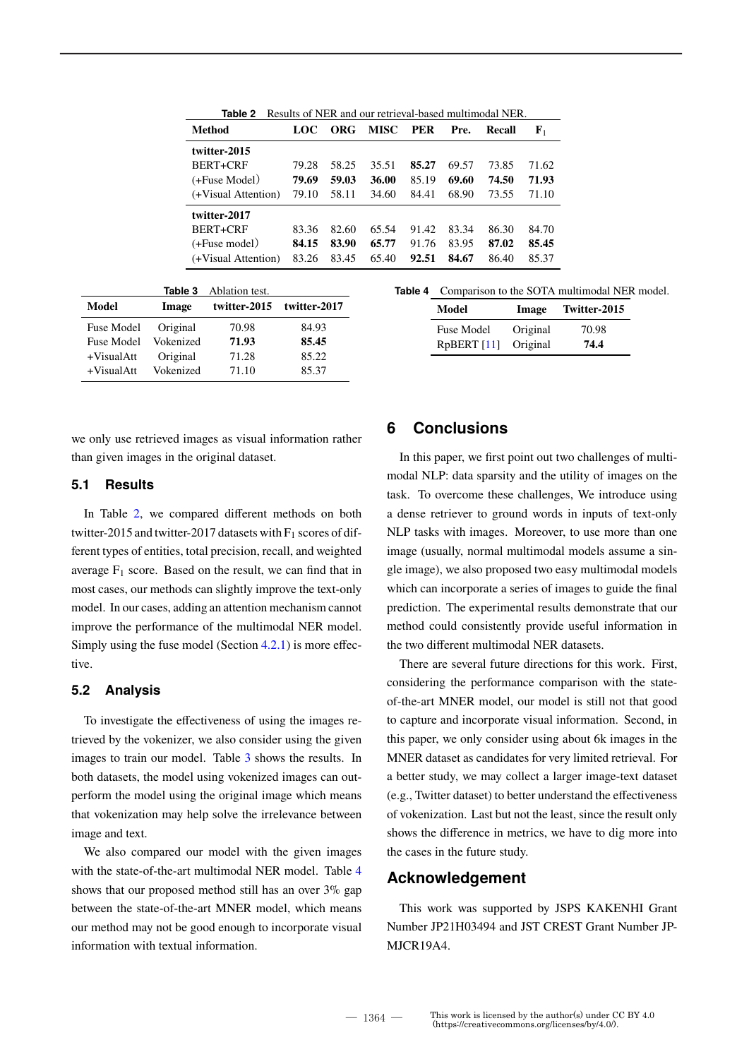| Results of NER and our retrieval-based multimodal NER.<br>Table 2 |       |       |             |            |       |        |             |
|-------------------------------------------------------------------|-------|-------|-------------|------------|-------|--------|-------------|
| <b>Method</b>                                                     | LOC   | ORG   | <b>MISC</b> | <b>PER</b> | Pre.  | Recall | ${\bf F}_1$ |
| twitter-2015                                                      |       |       |             |            |       |        |             |
| BERT+CRF                                                          | 79.28 | 58.25 | 35.51       | 85.27      | 69.57 | 73.85  | 71.62       |
| $(+$ Fuse Model $)$                                               | 79.69 | 59.03 | 36.00       | 85.19      | 69.60 | 74.50  | 71.93       |
| (+Visual Attention)                                               | 79.10 | 58.11 | 34.60       | 84.41      | 68.90 | 73.55  | 71.10       |
| twitter-2017                                                      |       |       |             |            |       |        |             |
| BERT+CRF                                                          | 83.36 | 82.60 | 65.54       | 91.42      | 83.34 | 86.30  | 84.70       |
| $(+$ Fuse model)                                                  | 84.15 | 83.90 | 65.77       | 91.76      | 83.95 | 87.02  | 85.45       |
| (+Visual Attention)                                               | 83.26 | 83.45 | 65.40       | 92.51      | 84.67 | 86.40  | 85.37       |

|                   | Table 3   | Ablation test. |              |
|-------------------|-----------|----------------|--------------|
| Model             | Image     | twitter-2015   | twitter-2017 |
| <b>Fuse Model</b> | Original  | 70.98          | 84.93        |
| <b>Fuse Model</b> | Vokenized | 71.93          | 85.45        |
| +VisualAtt        | Original  | 71.28          | 85.22        |
| $+VisualAtt$      | Vokenized | 71.10          | 85.37        |

we only use retrieved images as visual information rather than given images in the original dataset.

### **5.1 Results**

In Table 2, we compared different methods on both twitter-2015 and twitter-2017 datasets with  $F_1$  scores of different types of entities, total precision, recall, and weighted average  $F_1$  score. Based on the result, we can find that in most cases, our methods can slightly improve the text-only model. In our cases, adding an attention mechanism cannot improve the performance of the multimodal NER model. Simply using the fuse model (Section 4.2.1) is more effective.

### **5.2 Analysis**

To investigate the effectiveness of using the images retrieved by the vokenizer, we also consider using the given images to train our model. Table 3 shows the results. In both datasets, the model using vokenized images can outperform the model using the original image which means that vokenization may help solve the irrelevance between image and text.

We also compared our model with the given images with the state-of-the-art multimodal NER model. Table 4 shows that our proposed method still has an over  $3\%$  gap between the state-of-the-art MNER model, which means our method may not be good enough to incorporate visual information with textual information.

#### Table 4 Comparison to the SOTA multimodal NER model.

| Model             | Image    | Twitter-2015 |
|-------------------|----------|--------------|
| <b>Fuse Model</b> | Original | 70.98        |
| RpBERT [11]       | Original | 74.4         |

## **6 Conclusions**

In this paper, we first point out two challenges of multimodal NLP: data sparsity and the utility of images on the task. To overcome these challenges, We introduce using a dense retriever to ground words in inputs of text-only NLP tasks with images. Moreover, to use more than one image (usually, normal multimodal models assume a single image), we also proposed two easy multimodal models which can incorporate a series of images to guide the final prediction. The experimental results demonstrate that our method could consistently provide useful information in the two different multimodal NER datasets.

There are several future directions for this work. First, considering the performance comparison with the stateof-the-art MNER model, our model is still not that good to capture and incorporate visual information. Second, in this paper, we only consider using about 6k images in the MNER dataset as candidates for very limited retrieval. For a better study, we may collect a larger image-text dataset (e.g., Twitter dataset) to better understand the effectiveness of vokenization. Last but not the least, since the result only shows the difference in metrics, we have to dig more into the cases in the future study.

### **Acknowledgement**

This work was supported by JSPS KAKENHI Grant Number JP21H03494 and JST CREST Grant Number JP-MJCR19A4.